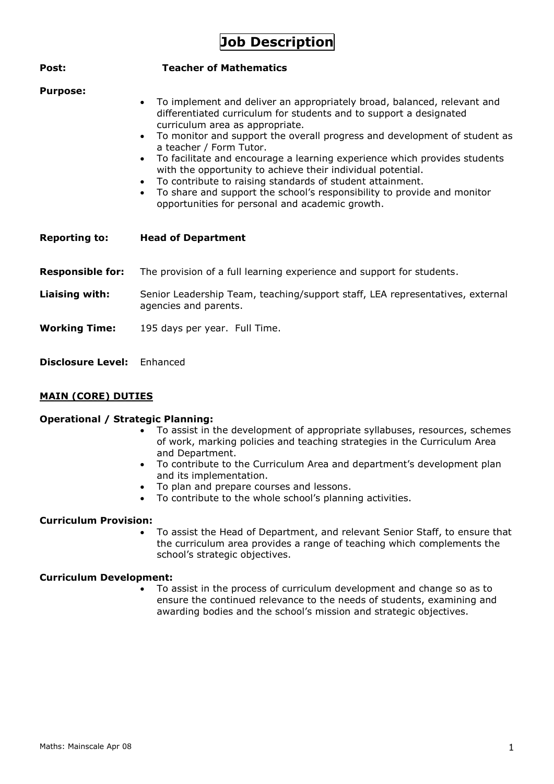# **Job Description**

| Post:                   | <b>Teacher of Mathematics</b>                                                                                                                                                                                                                                                                                                                                                                                                                                                                                                                                                                                                                                          |
|-------------------------|------------------------------------------------------------------------------------------------------------------------------------------------------------------------------------------------------------------------------------------------------------------------------------------------------------------------------------------------------------------------------------------------------------------------------------------------------------------------------------------------------------------------------------------------------------------------------------------------------------------------------------------------------------------------|
| <b>Purpose:</b>         | To implement and deliver an appropriately broad, balanced, relevant and<br>differentiated curriculum for students and to support a designated<br>curriculum area as appropriate.<br>To monitor and support the overall progress and development of student as<br>$\bullet$<br>a teacher / Form Tutor.<br>To facilitate and encourage a learning experience which provides students<br>$\bullet$<br>with the opportunity to achieve their individual potential.<br>To contribute to raising standards of student attainment.<br>To share and support the school's responsibility to provide and monitor<br>$\bullet$<br>opportunities for personal and academic growth. |
| <b>Reporting to:</b>    | <b>Head of Department</b>                                                                                                                                                                                                                                                                                                                                                                                                                                                                                                                                                                                                                                              |
| <b>Responsible for:</b> | The provision of a full learning experience and support for students.                                                                                                                                                                                                                                                                                                                                                                                                                                                                                                                                                                                                  |
| Liaising with:          | Senior Leadership Team, teaching/support staff, LEA representatives, external<br>agencies and parents.                                                                                                                                                                                                                                                                                                                                                                                                                                                                                                                                                                 |
| <b>Working Time:</b>    | 195 days per year. Full Time.                                                                                                                                                                                                                                                                                                                                                                                                                                                                                                                                                                                                                                          |

**Disclosure Level:** Enhanced

## **MAIN (CORE) DUTIES**

#### **Operational / Strategic Planning:**

- To assist in the development of appropriate syllabuses, resources, schemes of work, marking policies and teaching strategies in the Curriculum Area and Department.
- To contribute to the Curriculum Area and department's development plan and its implementation.
- To plan and prepare courses and lessons.
- To contribute to the whole school's planning activities.

## **Curriculum Provision:**

 To assist the Head of Department, and relevant Senior Staff, to ensure that the curriculum area provides a range of teaching which complements the school's strategic objectives.

#### **Curriculum Development:**

 To assist in the process of curriculum development and change so as to ensure the continued relevance to the needs of students, examining and awarding bodies and the school's mission and strategic objectives.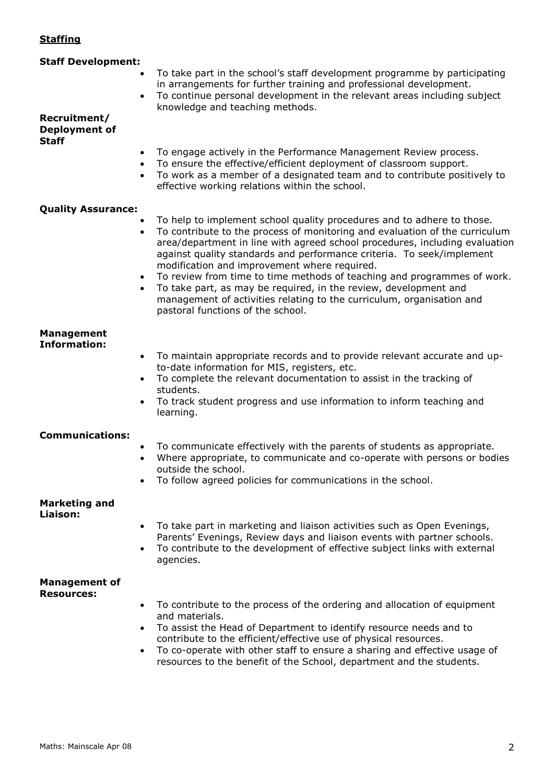## **Staffing**

| <b>Staff Development:</b>                                  | To take part in the school's staff development programme by participating<br>in arrangements for further training and professional development.                                                                                                                                                                                                                                                                                                                                                                                                                                                                            |
|------------------------------------------------------------|----------------------------------------------------------------------------------------------------------------------------------------------------------------------------------------------------------------------------------------------------------------------------------------------------------------------------------------------------------------------------------------------------------------------------------------------------------------------------------------------------------------------------------------------------------------------------------------------------------------------------|
| $\bullet$<br>Recruitment/<br>Deployment of<br><b>Staff</b> | To continue personal development in the relevant areas including subject<br>knowledge and teaching methods.                                                                                                                                                                                                                                                                                                                                                                                                                                                                                                                |
| $\bullet$<br>$\bullet$<br>$\bullet$                        | To engage actively in the Performance Management Review process.<br>To ensure the effective/efficient deployment of classroom support.<br>To work as a member of a designated team and to contribute positively to<br>effective working relations within the school.                                                                                                                                                                                                                                                                                                                                                       |
| <b>Quality Assurance:</b>                                  |                                                                                                                                                                                                                                                                                                                                                                                                                                                                                                                                                                                                                            |
| $\bullet$<br>$\bullet$<br>$\bullet$                        | To help to implement school quality procedures and to adhere to those.<br>To contribute to the process of monitoring and evaluation of the curriculum<br>area/department in line with agreed school procedures, including evaluation<br>against quality standards and performance criteria. To seek/implement<br>modification and improvement where required.<br>To review from time to time methods of teaching and programmes of work.<br>To take part, as may be required, in the review, development and<br>management of activities relating to the curriculum, organisation and<br>pastoral functions of the school. |
| <b>Management</b>                                          |                                                                                                                                                                                                                                                                                                                                                                                                                                                                                                                                                                                                                            |
| <b>Information:</b><br>$\bullet$<br>$\bullet$              | To maintain appropriate records and to provide relevant accurate and up-<br>to-date information for MIS, registers, etc.<br>To complete the relevant documentation to assist in the tracking of<br>students.<br>To track student progress and use information to inform teaching and<br>learning.                                                                                                                                                                                                                                                                                                                          |
| <b>Communications:</b><br>$\bullet$                        | To communicate effectively with the parents of students as appropriate.<br>Where appropriate, to communicate and co-operate with persons or bodies<br>outside the school.                                                                                                                                                                                                                                                                                                                                                                                                                                                  |
|                                                            | To follow agreed policies for communications in the school.                                                                                                                                                                                                                                                                                                                                                                                                                                                                                                                                                                |
| <b>Marketing and</b><br>Liaison:<br>$\bullet$              | To take part in marketing and liaison activities such as Open Evenings,                                                                                                                                                                                                                                                                                                                                                                                                                                                                                                                                                    |
| $\bullet$                                                  | Parents' Evenings, Review days and liaison events with partner schools.<br>To contribute to the development of effective subject links with external<br>agencies.                                                                                                                                                                                                                                                                                                                                                                                                                                                          |
| <b>Management of</b>                                       |                                                                                                                                                                                                                                                                                                                                                                                                                                                                                                                                                                                                                            |
| <b>Resources:</b><br>$\bullet$<br>$\bullet$                | To contribute to the process of the ordering and allocation of equipment<br>and materials.<br>To assist the Head of Department to identify resource needs and to<br>contribute to the efficient/effective use of physical resources.                                                                                                                                                                                                                                                                                                                                                                                       |

 To co-operate with other staff to ensure a sharing and effective usage of resources to the benefit of the School, department and the students.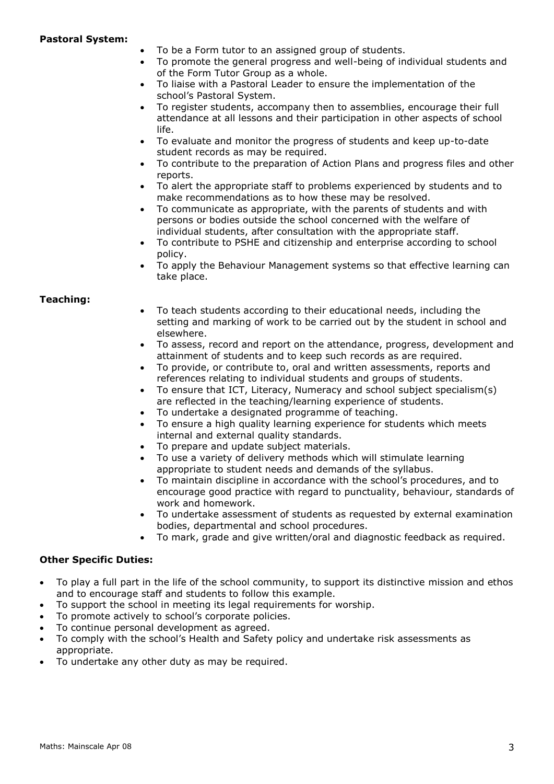#### **Pastoral System:**

- To be a Form tutor to an assigned group of students.
- To promote the general progress and well-being of individual students and of the Form Tutor Group as a whole.
- To liaise with a Pastoral Leader to ensure the implementation of the school's Pastoral System.
- To register students, accompany then to assemblies, encourage their full attendance at all lessons and their participation in other aspects of school life.
- To evaluate and monitor the progress of students and keep up-to-date student records as may be required.
- To contribute to the preparation of Action Plans and progress files and other reports.
- To alert the appropriate staff to problems experienced by students and to make recommendations as to how these may be resolved.
- To communicate as appropriate, with the parents of students and with persons or bodies outside the school concerned with the welfare of individual students, after consultation with the appropriate staff.
- To contribute to PSHE and citizenship and enterprise according to school policy.
- To apply the Behaviour Management systems so that effective learning can take place.

#### **Teaching:**

- To teach students according to their educational needs, including the setting and marking of work to be carried out by the student in school and elsewhere.
- To assess, record and report on the attendance, progress, development and attainment of students and to keep such records as are required.
- To provide, or contribute to, oral and written assessments, reports and references relating to individual students and groups of students.
- To ensure that ICT, Literacy, Numeracy and school subject specialism(s) are reflected in the teaching/learning experience of students.
- To undertake a designated programme of teaching.
- To ensure a high quality learning experience for students which meets internal and external quality standards.
- To prepare and update subject materials.
- To use a variety of delivery methods which will stimulate learning appropriate to student needs and demands of the syllabus.
- To maintain discipline in accordance with the school's procedures, and to encourage good practice with regard to punctuality, behaviour, standards of work and homework.
- To undertake assessment of students as requested by external examination bodies, departmental and school procedures.
- To mark, grade and give written/oral and diagnostic feedback as required.

## **Other Specific Duties:**

- To play a full part in the life of the school community, to support its distinctive mission and ethos and to encourage staff and students to follow this example.
- To support the school in meeting its legal requirements for worship.
- To promote actively to school's corporate policies.
- To continue personal development as agreed.
- To comply with the school's Health and Safety policy and undertake risk assessments as appropriate.
- To undertake any other duty as may be required.